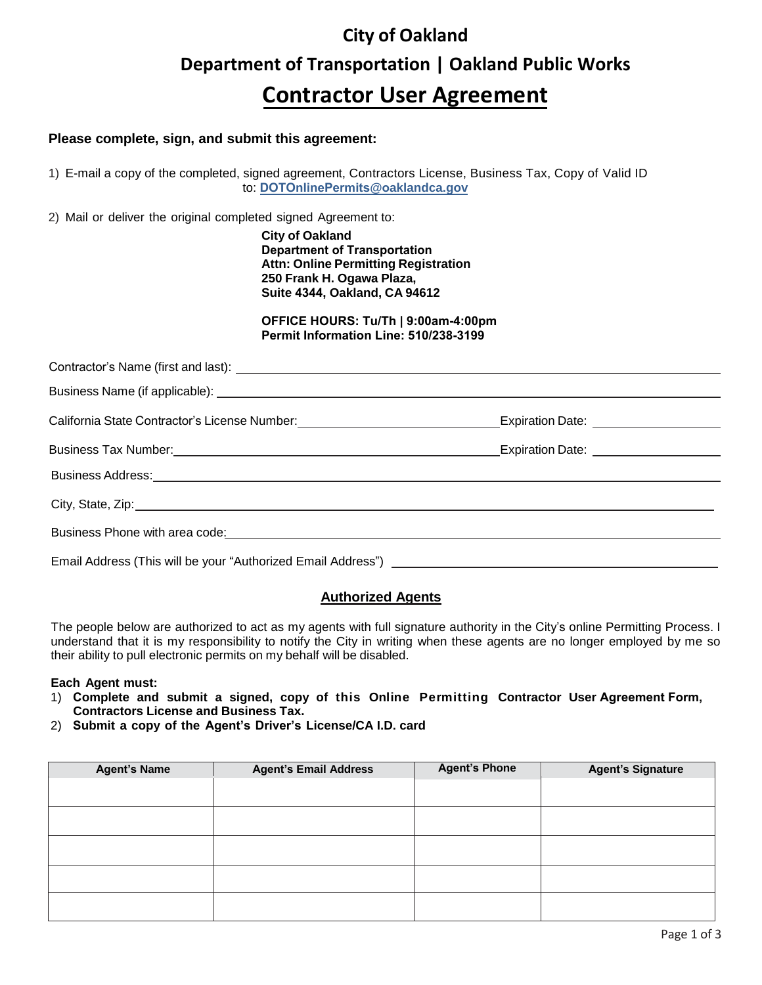# **City of Oakland Department of Transportation | Oakland Public Works Contractor User Agreement**

### **Please complete, sign, and submit this agreement:**

1) E-mail a copy of the completed, signed agreement, Contractors License, Business Tax, Copy of Valid ID to: **DOTOnlinePermits@oaklandca.gov**

2) Mail or deliver the original completed signed Agreement to:

**City of Oakland Department of Transportation Attn: Online Permitting Registration 250 Frank H. Ogawa Plaza, Suite 4344, Oakland, CA 94612**

**OFFICE HOURS: Tu/Th | 9:00am-4:00pm Permit Information Line: 510/238-3199** 

| California State Contractor's License Number: \\sqrtdgs\\sqrtdgs\sqrtdgs\sqrtdgs\sqrtdgs\sqrtdgs\sqrtdgs\sqrtdgs\sqrtdgs\sqrtdgs\sqrtdgs\sqrtdgs\sqrtdgs\sqrtdgs\sqrtdgs\sqrtdgs\sqrtdgs\sqrtdgs\sqrtdgs\sqrtdgs\sqrtdgs\sqrtd | Expiration Date: _____________________ |
|--------------------------------------------------------------------------------------------------------------------------------------------------------------------------------------------------------------------------------|----------------------------------------|
|                                                                                                                                                                                                                                |                                        |
| Business Address: <u>Communications</u> and Communications and Communications and Communications and Communications and                                                                                                        |                                        |
| City, State, Zip: 2008. Experience of the State of the State of the State of the State of the State of the State of the State of the State of the State of the State of the State of the State of the State of the State of th |                                        |
|                                                                                                                                                                                                                                |                                        |
|                                                                                                                                                                                                                                |                                        |

## **Authorized Agents**

The people below are authorized to act as my agents with full signature authority in the City's online Permitting Process. I understand that it is my responsibility to notify the City in writing when these agents are no longer employed by me so their ability to pull electronic permits on my behalf will be disabled.

#### **Each Agent must:**

- 1) **Complete and submit a signed, copy of this Online Permitting Contractor User Agreement Form, Contractors License and Business Tax.**
- 2) **Submit a copy of the Agent's Driver's License/CA I.D. card**

| <b>Agent's Name</b> | <b>Agent's Email Address</b> | <b>Agent's Phone</b> | <b>Agent's Signature</b> |
|---------------------|------------------------------|----------------------|--------------------------|
|                     |                              |                      |                          |
|                     |                              |                      |                          |
|                     |                              |                      |                          |
|                     |                              |                      |                          |
|                     |                              |                      |                          |
|                     |                              |                      |                          |
|                     |                              |                      |                          |
|                     |                              |                      |                          |
|                     |                              |                      |                          |
|                     |                              |                      |                          |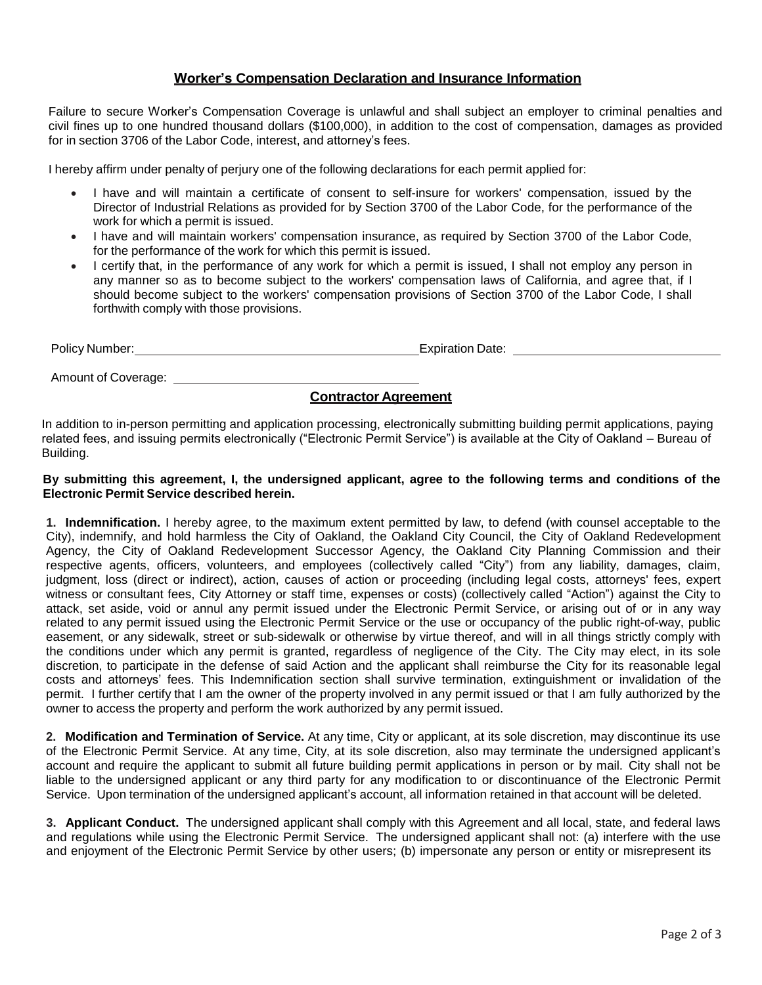## **Worker's Compensation Declaration and Insurance Information**

Failure to secure Worker's Compensation Coverage is unlawful and shall subject an employer to criminal penalties and civil fines up to one hundred thousand dollars (\$100,000), in addition to the cost of compensation, damages as provided for in section 3706 of the Labor Code, interest, and attorney's fees.

I hereby affirm under penalty of perjury one of the following declarations for each permit applied for:

- I have and will maintain a certificate of consent to self-insure for workers' compensation, issued by the Director of Industrial Relations as provided for by Section 3700 of the Labor Code, for the performance of the work for which a permit is issued.
- I have and will maintain workers' compensation insurance, as required by Section 3700 of the Labor Code, for the performance of the work for which this permit is issued.
- I certify that, in the performance of any work for which a permit is issued, I shall not employ any person in any manner so as to become subject to the workers' compensation laws of California, and agree that, if I should become subject to the workers' compensation provisions of Section 3700 of the Labor Code, I shall forthwith comply with those provisions.

Policy Number: <u>Contract Contract Contract Contract Contract Contract Contract Contract Contract Contract Contract Contract Contract Contract Contract Contract Contract Contract Contract Contract Contract Contract Contract</u>

Amount of Coverage:

## **Contractor Agreement**

In addition to in-person permitting and application processing, electronically submitting building permit applications, paying related fees, and issuing permits electronically ("Electronic Permit Service") is available at the City of Oakland – Bureau of Building.

#### By submitting this agreement, I, the undersigned applicant, agree to the following terms and conditions of the **Electronic Permit Service described herein.**

**1. Indemnification.** I hereby agree, to the maximum extent permitted by law, to defend (with counsel acceptable to the City), indemnify, and hold harmless the City of Oakland, the Oakland City Council, the City of Oakland Redevelopment Agency, the City of Oakland Redevelopment Successor Agency, the Oakland City Planning Commission and their respective agents, officers, volunteers, and employees (collectively called "City") from any liability, damages, claim, judgment, loss (direct or indirect), action, causes of action or proceeding (including legal costs, attorneys' fees, expert witness or consultant fees, City Attorney or staff time, expenses or costs) (collectively called "Action") against the City to attack, set aside, void or annul any permit issued under the Electronic Permit Service, or arising out of or in any way related to any permit issued using the Electronic Permit Service or the use or occupancy of the public right-of-way, public easement, or any sidewalk, street or sub-sidewalk or otherwise by virtue thereof, and will in all things strictly comply with the conditions under which any permit is granted, regardless of negligence of the City. The City may elect, in its sole discretion, to participate in the defense of said Action and the applicant shall reimburse the City for its reasonable legal costs and attorneys' fees. This Indemnification section shall survive termination, extinguishment or invalidation of the permit. I further certify that I am the owner of the property involved in any permit issued or that I am fully authorized by the owner to access the property and perform the work authorized by any permit issued.

**2. Modification and Termination of Service.** At any time, City or applicant, at its sole discretion, may discontinue its use of the Electronic Permit Service. At any time, City, at its sole discretion, also may terminate the undersigned applicant's account and require the applicant to submit all future building permit applications in person or by mail. City shall not be liable to the undersigned applicant or any third party for any modification to or discontinuance of the Electronic Permit Service. Upon termination of the undersigned applicant's account, all information retained in that account will be deleted.

**3. Applicant Conduct.** The undersigned applicant shall comply with this Agreement and all local, state, and federal laws and regulations while using the Electronic Permit Service. The undersigned applicant shall not: (a) interfere with the use and enjoyment of the Electronic Permit Service by other users; (b) impersonate any person or entity or misrepresent its